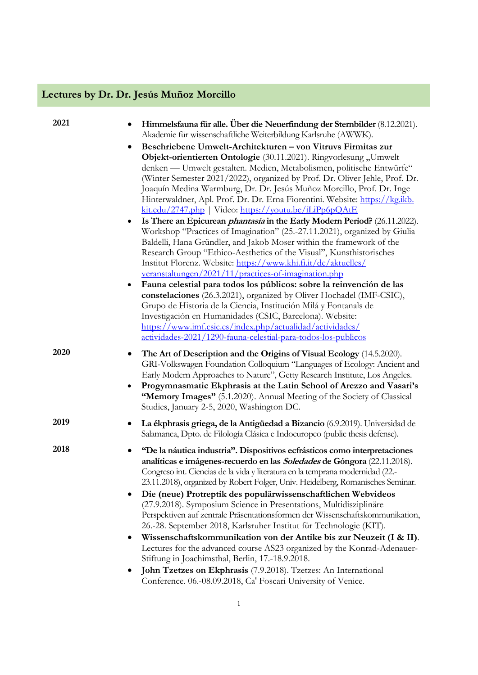## **Lectures by Dr. Dr. Jesús Muñoz Morcillo**

| 2021 | Himmelsfauna für alle. Über die Neuerfindung der Sternbilder (8.12.2021).<br>$\bullet$<br>Akademie für wissenschaftliche Weiterbildung Karlsruhe (AWWK).<br>Beschriebene Umwelt-Architekturen - von Vitruvs Firmitas zur<br>Objekt-orientierten Ontologie (30.11.2021). Ringvorlesung "Umwelt<br>denken — Umwelt gestalten. Medien, Metabolismen, politische Entwürfe"<br>(Winter Semester 2021/2022), organized by Prof. Dr. Oliver Jehle, Prof. Dr.<br>Joaquín Medina Warmburg, Dr. Dr. Jesús Muñoz Morcillo, Prof. Dr. Inge<br>Hinterwaldner, Apl. Prof. Dr. Dr. Erna Fiorentini. Website: https://kg.ikb.<br>kit.edu/2747.php   Video: https://youtu.be/iLiPp6pQAtE<br>Is There an Epicurean <i>phantasia</i> in the Early Modern Period? (26.11.2022).<br>$\bullet$<br>Workshop "Practices of Imagination" (25.-27.11.2021), organized by Giulia<br>Baldelli, Hana Gründler, and Jakob Moser within the framework of the<br>Research Group "Ethico-Aesthetics of the Visual", Kunsthistorisches<br>Institut Florenz. Website: https://www.khi.fi.it/de/aktuelles/<br>veranstaltungen/2021/11/practices-of-imagination.php<br>Fauna celestial para todos los públicos: sobre la reinvención de las<br>٠<br>constelaciones (26.3.2021), organized by Oliver Hochadel (IMF-CSIC),<br>Grupo de Historia de la Ciencia, Institución Milá y Fontanals de<br>Investigación en Humanidades (CSIC, Barcelona). Website:<br>https://www.imf.csic.es/index.php/actualidad/actividades/ |
|------|----------------------------------------------------------------------------------------------------------------------------------------------------------------------------------------------------------------------------------------------------------------------------------------------------------------------------------------------------------------------------------------------------------------------------------------------------------------------------------------------------------------------------------------------------------------------------------------------------------------------------------------------------------------------------------------------------------------------------------------------------------------------------------------------------------------------------------------------------------------------------------------------------------------------------------------------------------------------------------------------------------------------------------------------------------------------------------------------------------------------------------------------------------------------------------------------------------------------------------------------------------------------------------------------------------------------------------------------------------------------------------------------------------------------------------------------------------------------------------|
| 2020 | actividades-2021/1290-fauna-celestial-para-todos-los-publicos<br>The Art of Description and the Origins of Visual Ecology (14.5.2020).<br>GRI-Volkswagen Foundation Colloquium "Languages of Ecology: Ancient and<br>Early Modern Approaches to Nature", Getty Research Institute, Los Angeles.<br>Progymnasmatic Ekphrasis at the Latin School of Arezzo and Vasari's<br>٠<br>"Memory Images" (5.1.2020). Annual Meeting of the Society of Classical<br>Studies, January 2-5, 2020, Washington DC.                                                                                                                                                                                                                                                                                                                                                                                                                                                                                                                                                                                                                                                                                                                                                                                                                                                                                                                                                                              |
| 2019 | La ékphrasis griega, de la Antigüedad a Bizancio (6.9.2019). Universidad de<br>Salamanca, Dpto. de Filología Clásica e Indoeuropeo (public thesis defense).                                                                                                                                                                                                                                                                                                                                                                                                                                                                                                                                                                                                                                                                                                                                                                                                                                                                                                                                                                                                                                                                                                                                                                                                                                                                                                                      |
| 2018 | "De la náutica industria". Dispositivos ecfrásticos como interpretaciones<br>٠<br>analíticas e imágenes-recuerdo en las Soledades de Góngora (22.11.2018).<br>Congreso int. Ciencias de la vida y literatura en la temprana modernidad (22.-<br>23.11.2018), organized by Robert Folger, Univ. Heidelberg, Romanisches Seminar.<br>Die (neue) Protreptik des populärwissenschaftlichen Webvideos<br>(27.9.2018). Symposium Science in Presentations, Multidisziplinäre<br>Perspektiven auf zentrale Präsentationsformen der Wissenschaftskommunikation,<br>26.-28. September 2018, Karlsruher Institut für Technologie (KIT).<br>Wissenschaftskommunikation von der Antike bis zur Neuzeit (I & II).<br>Lectures for the advanced course AS23 organized by the Konrad-Adenauer-<br>Stiftung in Joachimsthal, Berlin, 17.-18.9.2018.<br>John Tzetzes on Ekphrasis (7.9.2018). Tzetzes: An International<br>Conference. 06.-08.09.2018, Ca' Foscari University of Venice.                                                                                                                                                                                                                                                                                                                                                                                                                                                                                                          |